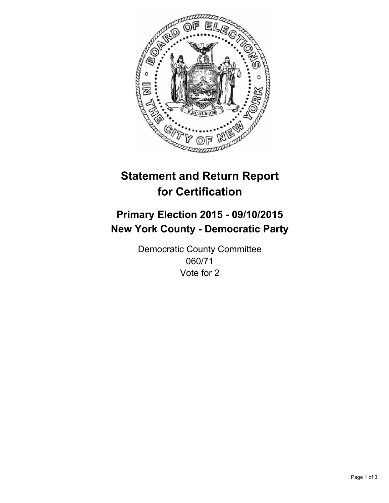

# **Statement and Return Report for Certification**

## **Primary Election 2015 - 09/10/2015 New York County - Democratic Party**

Democratic County Committee 060/71 Vote for 2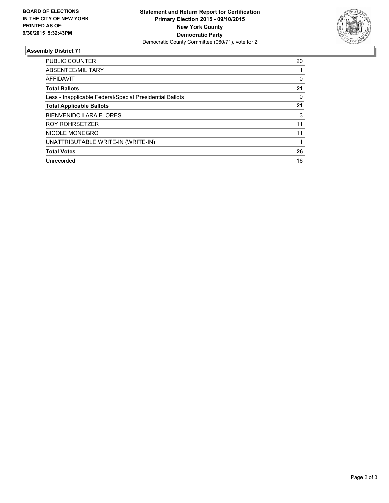

#### **Assembly District 71**

| <b>PUBLIC COUNTER</b>                                    | 20 |
|----------------------------------------------------------|----|
| ABSENTEE/MILITARY                                        |    |
| <b>AFFIDAVIT</b>                                         | 0  |
| <b>Total Ballots</b>                                     | 21 |
| Less - Inapplicable Federal/Special Presidential Ballots | 0  |
| <b>Total Applicable Ballots</b>                          | 21 |
| <b>BIENVENIDO LARA FLORES</b>                            | 3  |
| <b>ROY ROHRSETZER</b>                                    | 11 |
| NICOLE MONEGRO                                           | 11 |
| UNATTRIBUTABLE WRITE-IN (WRITE-IN)                       |    |
| <b>Total Votes</b>                                       | 26 |
| Unrecorded                                               | 16 |